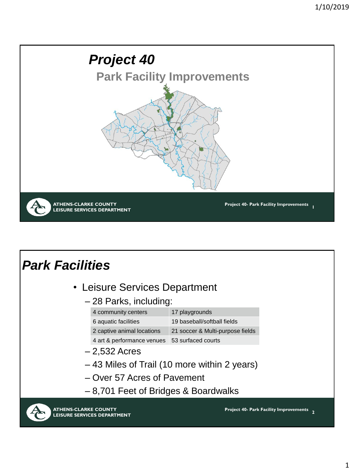

### *Park Facilities*

- Leisure Services Department
	- 28 Parks, including:

| 4 community centers                           | 17 playgrounds                   |
|-----------------------------------------------|----------------------------------|
| 6 aquatic facilities                          | 19 baseball/softball fields      |
| 2 captive animal locations                    | 21 soccer & Multi-purpose fields |
| 4 art & performance venues 53 surfaced courts |                                  |

- 2,532 Acres
- 43 Miles of Trail (10 more within 2 years)
- Over 57 Acres of Pavement
- 8,701 Feet of Bridges & Boardwalks

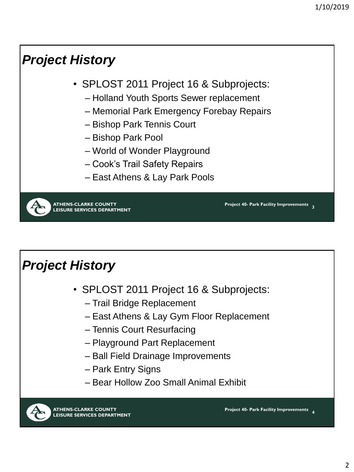# *Project History*

- SPLOST 2011 Project 16 & Subprojects:
	- Holland Youth Sports Sewer replacement
	- Memorial Park Emergency Forebay Repairs
	- Bishop Park Tennis Court
	- Bishop Park Pool
	- World of Wonder Playground
	- Cook's Trail Safety Repairs
	- East Athens & Lay Park Pools



## *Project History*

- SPLOST 2011 Project 16 & Subprojects:
	- Trail Bridge Replacement
	- East Athens & Lay Gym Floor Replacement
	- Tennis Court Resurfacing
	- Playground Part Replacement
	- Ball Field Drainage Improvements
	- Park Entry Signs
	- Bear Hollow Zoo Small Animal Exhibit

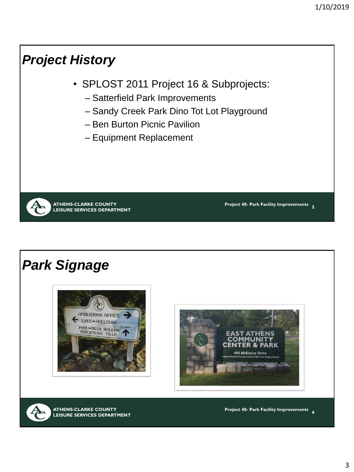# *Project History*

- SPLOST 2011 Project 16 & Subprojects:
	- Satterfield Park Improvements
	- Sandy Creek Park Dino Tot Lot Playground
	- Ben Burton Picnic Pavilion
	- Equipment Replacement

**ATHENS-CLARKE COUNTY LEISURE SERVICES DEPARTMENT**

*Park Signage* 







**ATHENS-CLARKE COUNTY LEISURE SERVICES DEPARTMENT** **Project 40- Park Facility Improvements 6**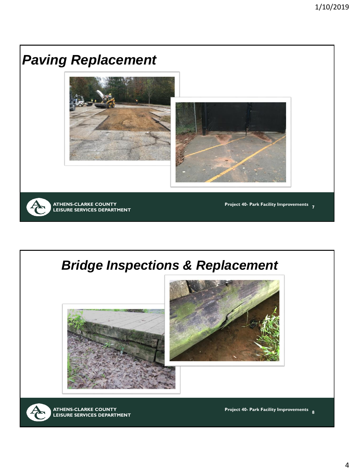





**ATHENS-CLARKE COUNTY LEISURE SERVICES DEPARTMENT**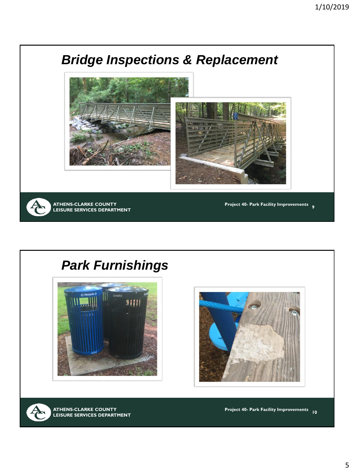

#### *Park Furnishings*







**ATHENS-CLARKE COUNTY LEISURE SERVICES DEPARTMENT**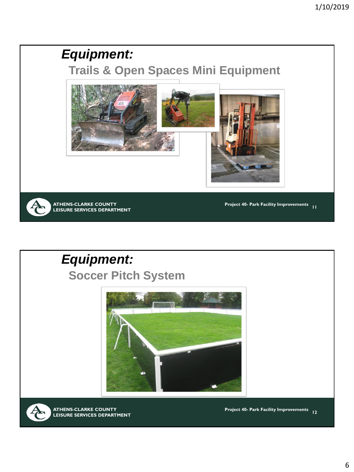#### *Equipment:*

**Trails & Open Spaces Mini Equipment**



**ATHENS-CLARKE COUNTY LEISURE SERVICES DEPARTMENT**

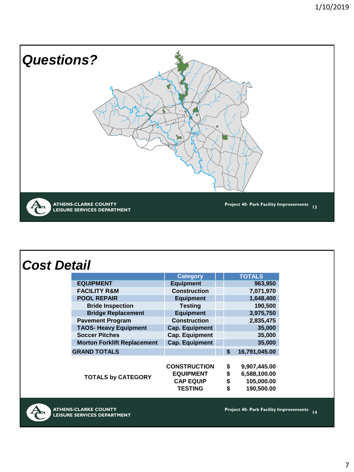

**ATHENS-CLARKE COUNTY LEISURE SERVICES DEPARTMENT**

 $\mathcal{F}_{\mathcal{F}}$  (Fig. ),  $\mathcal{F}_{\mathcal{F}}$  (Fig. ),  $\mathcal{F}_{\mathcal{F}}$  (Fig. ),  $\mathcal{F}_{\mathcal{F}}$  (Fig. ),  $\mathcal{F}_{\mathcal{F}}$